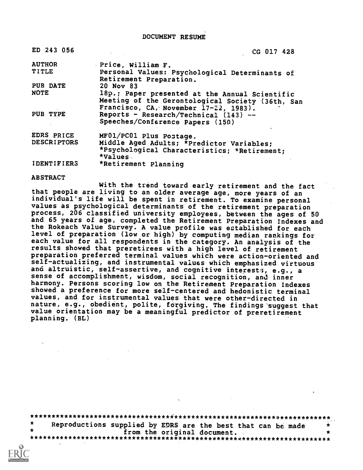DOCUMENT RESUME

| ED 243 056                    | CG 017 428                                                                |
|-------------------------------|---------------------------------------------------------------------------|
| <b>AUTHOR</b><br><b>TITLE</b> | Price, William F.                                                         |
|                               | Personal Values: Psychological Determinants of<br>Retirement Preparation. |
| PUB DATE                      | 20 Nov 83                                                                 |
| <b>NOTE</b>                   | 18p.; Paper presented at the Annual Scientific                            |
|                               | Meeting of the Gerontological Society (36th, San                          |
|                               | Francisco, CA, November 17-22, 1983).                                     |
| PUB TYPE                      | Reports - Research/Technical (143) --                                     |
|                               | Speeches/Conference Papers (150)                                          |
| EDRS PRICE                    | MF01/PC01 Plus Postage.                                                   |
| <b>DESCRIPTORS</b>            | Middle Aged Adults; *Predictor Variables;                                 |
|                               | *Psychological Characteristics; *Retirement;                              |
|                               | *Values                                                                   |
| <b>IDENTIFIERS</b>            | *Retirement Planning                                                      |

ABSTRACT

With the trend toward early retirement and the fact that people are living to an older average age, more years of an individual's life will be spent in retirement. To examine personal values as psychological determinants of the retirement preparation process, 206 classified university employees, between the ages of 50 and 65 years of age, completed the Retirement Preparation Indexes and the Rokeach Value Survey. A value profile was eztablished for each level of preparation (low or high) by computing median rankings for each value for all respondents in the category. An analysis of the results showed that preretirees with a high level of retirement preparation preferred terminal values which were action-oriented and self-actualizing, and instrumental values which emphasized virtuous and altruistic, self-assertive, and cognitive interests, e.g., a sense of accomplishment, wisdom, social recognition, and inner harmony. Persons scoring low on the Retirement Preparation Indexes showed a preference for more self-centered and hedonistic terminal values, and for instrumental values that were other-directed in nature, e.g., obedient, polite, forgiving. The findings suggest that value orientation may be a meaningful predictor of preretirement planning. (BL)

\*\*\*\*\*\*\*\*\*\*\*\*\*\*\*\*\*\*\*\*\*\*\*\*\*\*\*\*\*\*\*\*\*\*\*\*\*\*\*\*\*\*\*\*\*\*\*\*\*\*\*\*\*\*\*\*\*\*\*\*\*\*\*\*\*\*\*\*\*\*\* Reproductions supplied by EDRS are the best that can be made  $*$ <br>from the original document. from the original document. \*\*\*\*\*\*\*\*\*\*\*\*\*\*\*\*\*\*\*\*\*\*\*\*\*\*\*\*\*\*\*\*\*\*\*\*\*\*\*\*\*\*\*\*\*\*\*\*\*\*\*\*\*\*\*\*\*\*\*\*\*\*\*\*\*\*\*\*\*\*\*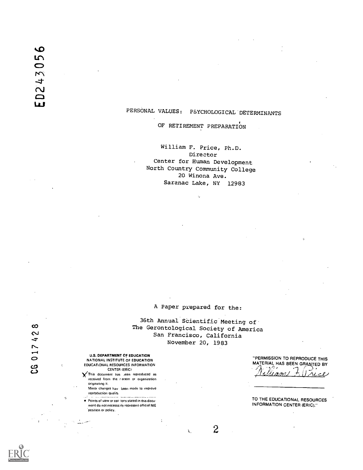# PERSONAL VALUES: PSYCHOLOGICAL DETERMINANTS

#### OF RETIREMENT PREPARATION

William F. Price, Ph.D. Director Center for Human Development North Country Community College 20 Winona Ave. Saranac Lake, NY 12983

A Paper prepared for the:

36th Annual SCientific Meeting of. OC The Gerontological Society of America<br>
San Francisco, California<br>
November 20, 1983<br>
November 20, 1983<br>
O U.S. DEPARTMENT OF EDUCATION<br>
NATIONAL INSTITUTE OF EDUCATION San Francisco, California November 20, 1983

 $\overline{2}$ 

À.

NATIONAL INSTITUTE OF EDUCATION<br>EQUENTIONAL RESOURCES INFORMATION<br>CENTER (ERIC)<br>CENTER (ERIC) U.S. DEPARTMENT OF EDUCATION

received from the rierson or organization originating it. Minor changes havil been made to improve

reproduction quality ..\_..... ment do not necessarily represent official NIE position or policy.

EQUCATIONAL RESOURCES INFORMATION<br>
CENTER (ESIT) (CENTER ANGL) CENTER (ERIC)<br>This document has Jeen reproduced as all and the set of the set of the set of the set of the set of the set of "PERMISSION TO REPRODUCE THIS

TO THE EDUCATIONAL RESOURCES INFORMATION CENTER (ERIC)."

 $\overline{O}$ 

D24305

**Lui**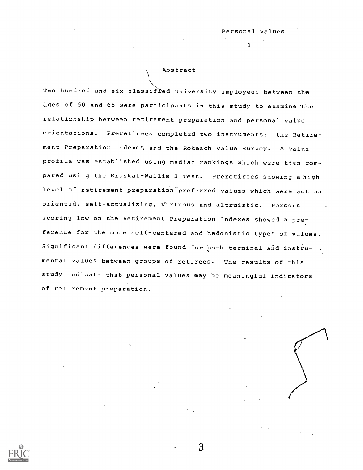$1 -$ 

#### Abstract

Two hundred and six classified university employees between the ages of 50 and 65 were participants in this study to examine 'the relationship between retirement preparation and personal value orientations. Preretirees completed two instruments: the Retirement Preparation Indexes, and the Rokeach Value Survey. A value profile was established using median rankings which were then compared using the Kruskal-Wallis H Test. Preretirees showing a high level of retirement preparation preferred values which were action oriented, self-actualizing, virtuous and altruistic. Persons scoring low on the Retirement Preparation Indexes showed a preference for the more self-centered and hedonistic types of values. Significant differences were found for both terminal and instrumental values between groups of retirees. The results of this study indicate that personal values may be meaningful indicators of retirement preparation.

3.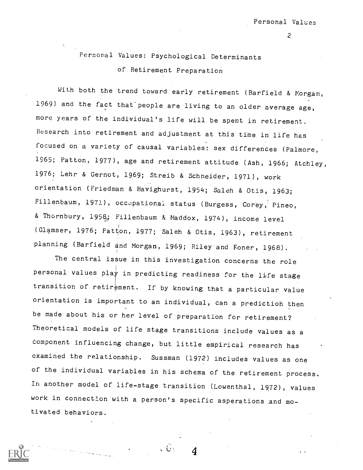Personal Values: Psychological Determinants of Retirement Preparation

With both the trend toward early retirement (Barfield & Morgan, 1969) and the fact that'people are living to an older average age, more years of the individual's life will be spent in retirement. Research into retirement and adjustment at this time in life has focused on a variety of causal variables: sex differences (Palmore, 1965; Patton, 1977), age and retirement attitude (Ash, 1966; Atchley, 1976; Lehr & Gernot, 1969; Streib & Schneider, 1971), work orientation (Friedman & Havighurst, 1954; Saleh & Otis, 1963; Fillenbaum, 1971), occupational status (Burgess, Corey, Pineo, & Thornbury, 1958; Fillenbaum & Maddox, 1974), income level (Glamser, 1976; Patton, 1977; Saleh & Otis, 1963), retirement planning (Barfield and Morgan, 1969; Riley'and Foner, 1968).

The central issue in this investigation concerns the role personal values play in predicting readiness for the life stage transition of retirement. If by knowing that a particular value orientation is important to an individual, can a predictioh then be made about his or her level of preparation for retirement? Theoretical models of life stage transitions include values as a component influencing change, but little empirical research has examined the relationship. Sussman (1972) includes values as one of the individual variables in his schema of the retirement process. In another model of life-stage transition (Lowenthal, 1972), values work in connection with a person's specific asperations .and motivated behaviors.

 $\sqrt{G}$  .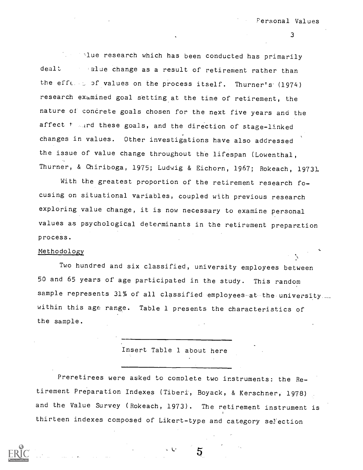all the research which has been conducted has primarily dealt alue change as a result of retirement rather than the efferent of values on the process itself. Thurner's (1974) research examined goal setting at the time of retirement, the nature of concrete goals chosen for the next five years and the affect f and these goals, and the direction of stage-linked changes in values. Other investigations have also addressed the issue of value change throughout the lifespan (Lowenthal, Thurner, & Chiriboga, 1975; Ludwig & Eichorn, 1967; Rokeach, 1973).

With the greatest proportion of the retirement research focusing on situational variables, coupled with previous research exploring value change, it is now necessary to examine personal values as psychological determinants in the retirement preparation process.

### Methodology

Two hundred and six classified, university employees between 50 and 65 years of age participated in the study. This random sample represents 31% of all classified employees at the university. within this age range. Table 1 presents the characteristics of the sample.

Insert Table 1 about here

Preretirees were asked to complete two instruments: the Retirement Preparation Indexes (Tiberi, Boyack, & Kerschner, 1978) and the Value Survey (Rokeach, 1973). The retirement instrument is thirteen indexes composed of Likert-type and category selection

L.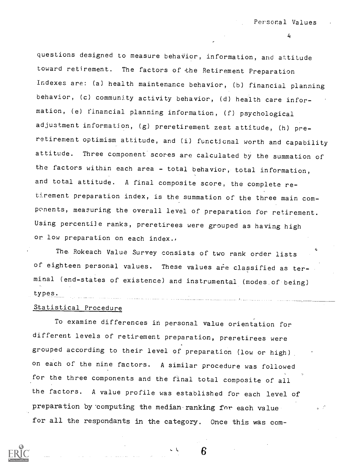questions designed to measure behavior, information, and attitude toward retirement. The factors of the Retirement Preparation Indexes are: (a) health maintenance behavior, (b) financial planning behavior, (c) community activity behavior, (d) health care information, (e) financial planning information, (f) psychological adjustment information, (g) preretirement zest attitude, (h) preretirement optimism attitude, and (i) functional worth and capability attitude. Three component scores are calculated by the summation of the factors within each area - total behavior, total information, and total attitude. A final composite score, the complete retirement preparation index, is the summation of the three main components, measuring the overall level of preparation for retirement. Using percentile ranks, preretirees were grouped as having high or low preparation on each index.,

The. Rokeach Value Survey consists of two rank order lists of eighteen personal values. These values are classified as terminal (end-states of existence) and instrumental (modes of being) types.

#### Statistical Procedure

To examine differences in personal value orientation for different levels of retirement preparation, preretirees were grouped according to their level of preparation (low or high) on each of the nine factors. A similar procedure was followed for the three components and the final total composite of all the factors. A value profile was established for each level of preparation by computing the median ranking for each value for all the respondants in the category. Once this was com-

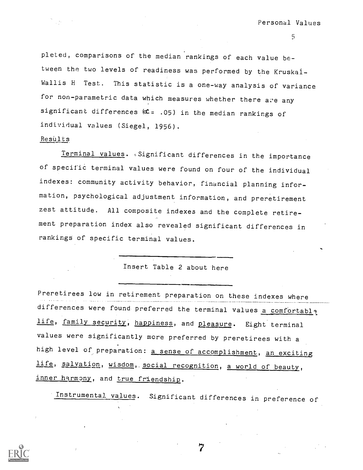pleted, comparisons of the median rankings of each value between the two levels of readiness was performed by the Kruskal-Wallis H Test. This statistic is a one-way analysis of variance for non-parametric data which measures whether there are any significant differences  $(C = .05)$  in the median rankings of individual values (Siegel, 1956).

#### ResUlts

Terminal values. Significant differences in the importance of specific terminal values were found on four of the individual indexes: community activity behavior, financial planning information, psychological adjustment information, and preretirement zest attitude. All composite indexes and the complete retirement preparation index also revealed significant differences in rankings of specific terminal values.

### Insert Table 2 about here

Preretirees low in retirement preparation on these indexes where differences were found preferred the terminal values a comfortabl? life, family security, happiness, and pleasure. Eight terminal values were significantly more preferred by preretirees with <sup>a</sup> high level of preparation: a sense of accomplishment, an exciting life, salvation, wisdom, social recognition, a world of beauty, inner harmony, and true friendship.

Instrumental values. Significant differences in preference of

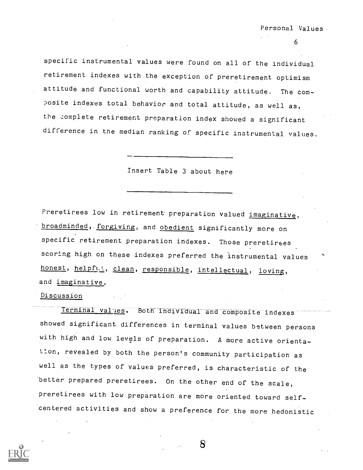specific instrumental values were found on all of the individual retirement indexes with the exception of preretirement optimism attitude and functional worth and capability attitude. The' composite indexes total behavior and total attitude, as well as, the complete retirement preparation index showed a significant difference in the median ranking of specific instrumental values.

Insert Table 3 about here

Preretirees low in retirement preparation valued imaginative, broadminded, forgiving, and obedient significantly more on specific retirement preparation indexes. Those preretirees scoring high on these indexes preferred the instrumental values honest, helpful, clean, responsible, intellectual, loving, and imaginative.

Discussion

Terminal values. Both individual and composite indexes showed significant differences in terminal values between persons with high and low levels of preparation. A more active orientatl.on, revealed by both the person's community participation as well as the types of values preferred, is characteristic of the 'better prepared preretirees. On the other end of the scale, preretirees with low preparation are more oriented toward selfcentered activities and show a preference for the more hedonistic

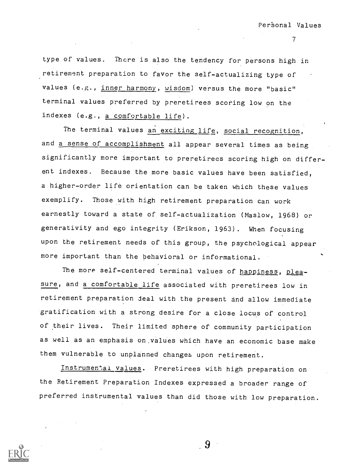type of values. There is also the tendency for persons high in retirement preparation to favor the self-actualizing type of values (e.g., inner harmony, wisdom) versus the more "basic" terminal values preferred by preretirees scoring low on the indexes (e.g., a comfortable life).

The terminal values an exciting life, social recognition, and a sense of accomplishment all appear several times as being significantly more important to preretirees scoring high on different indexes. Because the more basic values have been satisfied, a higher-order life orientation can be taken which these values exemplify. Those with high retirement preparation can work earnestly toward a state of self-actualization (Maslow, 1968) or generativity and ego integrity (Erikson, 1963). When focusing upon the retirement needs of this group, the psychological appear more important than the behavioral or informational.

The more self-centered terminal values of happiness, pleasure, and a comfortable life associated with preretirees low in retirement preparation deal with the present and allow immediate gratification with a strong desire for a close locus of control of their lives. Their limited sphere of community participation as well as an emphasis on.values which have an economic base make them vulnerable to unplanned changes upon retirement.

Instrumental values. Preretirees with high preparation on the Retirement Preparation Indexes expressed a broader range of preferred instrumental values than did those with low preparation.

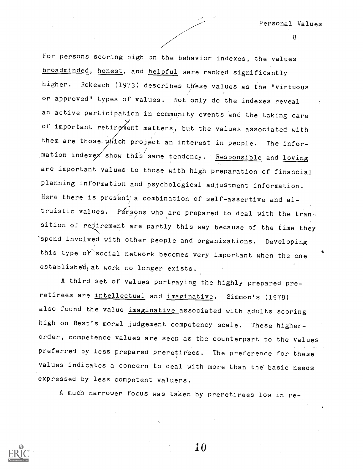For persons scoring high on the behavior indexes, the values broadminded, honest, and helpful were ranked significantly higher. Rokeach (1973) describes these values as the "virtuous or approved" types of values. Not only do the indexes reveal an active participation in community events and the taking care of important retirement matters, but the values associated with them are those which project an interest in people. The infor $m$  mation indexes show this same tendency. Responsible and loving are important values to those with high preparation of financial planning information and psychological adjustment information. Here there is present; a combination of self-assertive and altruistic values. Persons who are prepared to deal with the transition of retirement are partly this way because of the time they spend involved with other people and organizations. Developing this type of'social network becomes very important when the one established at work no longer exists.

A third set of values portraying the highly prepared preretirees are intellectual and imaginative. Simmon's (1978) also found the value imaginative associated with adults scoring high on Rest's moral judgement competency scale. These higherorder, competence values are seen as the counterpart to the values preferred by less prepared preretirees. The preference for these values indicates a concern to deal with more than the basic needs expressed by less competent valuers.

A much narrower focus was taken by preretirees low in re-

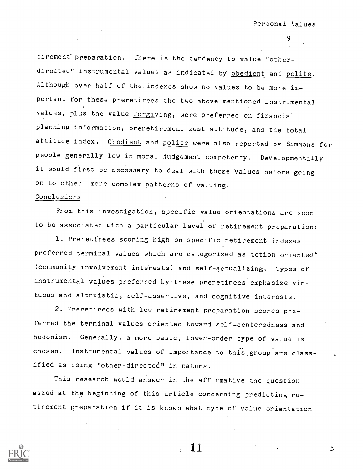tirement' preparation. There is the tendency to value "otherdirected" instrumental values as indicated by obedient and polite. Although over half of the indexes show no values to be more important for these preretirees the two above mentioned instrumental values, plus the value forgiving, were preferred on financial planning information, preretirement zest attitude, and the total attitude index. Obedient and polite were also reported by Simmons for people generally low in moral judgement competency. Developmentally it would first be necessary to deal with those values before going on to other, more complex patterns of valuing.

### Conclusions

From this investigation, specific value orientations are seen to be associated with a particular level of retirement preparation:

1. Preretirees scoring high on specific retirement indexes preferred terminal values which are categorized as action oriented' (community involvement interests) and self-actualizing. Types of instrumental values preferred by these preretirees emphasize virtuous and altruistic, self-assertive, and cognitive interests.

2. Preretirees with low retirement preparation scores preferred the terminal values oriented toward self-centeredness and hedonism. Generally, a more basic, lower-order type of value is chosen. Instrumental values of importance to this group are classified as being "other-directed" in nature.

This research would answer in the affirmative the question asked at the beginning of this article concerning predicting retirement preparation if it is known what type of value orientation



11

ن.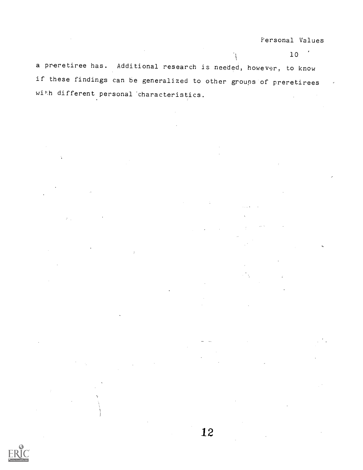Personal Values

10

 $\mathcal{A}$ a preretiree has. Additional research is needed, however, to know if these findings can be generalized to other groups of preretirees with different personal 'characteristics.

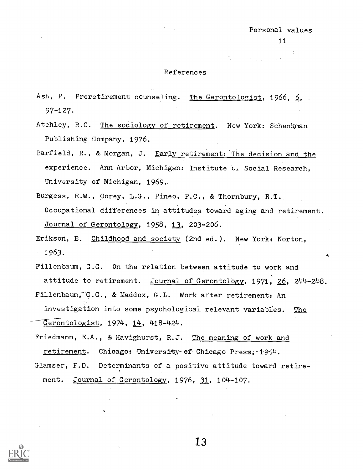### References

- Ash, P. Preretirement counseling. The Gerontologist, 1966, 6, 97-127.
- Atchley, R.C. The sociology of retirement. New York: Schenkman Publishing Company, 1976.
- Barfield, R., & Morgan, J. Early retirement: The decision and the experience. Ann Arbor, Michigan: Institute c. Social Research, University of Michigan, 1969..
- Burgess, E.W., Corey, L.G., Pineo, P.C., & Thornbury, R.T. Occupational differences in attitudes toward aging and retirement. Journal of Gerontology, 1958, 13, 203-206.
- Erikson, E. Childhood and society (2nd ed.). New York: Norton, 1963.
- Fillenbaum, G.G. On the relation between attitude to work and attitude to retirement. Journal of Gerontology, 1971, 26, 244-248.
- Fillenbaum, G.G., & Maddox, G.L. Work after retirement: An investigation into some psychological relevant variables. The  $G$ erontologist, 1974, 14, 418-424.
- Friedmann, E.A., & Havighurst, R.J. The meaning of work and retirement. Chicago: University-of Chicago Press, 1954.
- Glamser, F.D. Determinants of a positive attitude toward retirement. Journal of Gerontology, 1976, 31, 104-107.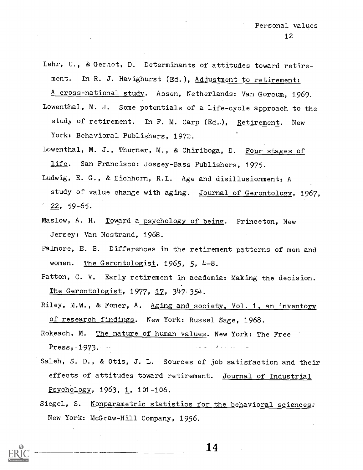- Lehr, U., & Geraot, D. Determinants of attitudes toward retirement. In R. J. Havighurst (Ed.), Adjustment to retirement: A cross-national study. Assen, Netherlands: Van Gorcum, 1969.
- Lowenthal, M. J. Some potentials of a life-cycle approach to the study of retirement. In F. M. Carp (Ed.), Retirement. New York: Behavioral Publishers, 1972.
- Lowenthal, M. J., Thurner, M., & Chiriboga, D. Four stages of life. San Francisco: Jossey-Bass Publishers, 1975.
- Ludwig, E. G., & Eichhorn, R.I. Age and disillusionment: A study of value change with aging. Journal of Gerontology, 1967,  $\frac{22}{59-65}$ .
- Maslow, A. H. Toward a psychology of being. Princeton, New Jersey: Van Nostrand, 1968.
- Palmore, E. B. Differences in the retirement patterns of men and women. The Gerontologist, 1965, 5, 4-8.
- Patton, C. V. Early retirement in academia: Making the decision. The Gerontologist, 1977, 12, 347-354.
- Riley, M.W., & Foner, A. Aging and society, Vol. 1, an inventory of research findings. New York: Russel Sage, 1968.
- Rokeach, M. The nature of human values. New York: The Free Press, -1973.
- Saleh, S. D., & Otis, J. L. Sources of job satisfaction and their effects of attitudes toward retirement. Journal of Industrial Psychology, 1963, 1, 101-106.
- Siegel, S. Nonparametric statistics for the behavioral sciences. New York: McGraw-Hill Company, 1956.

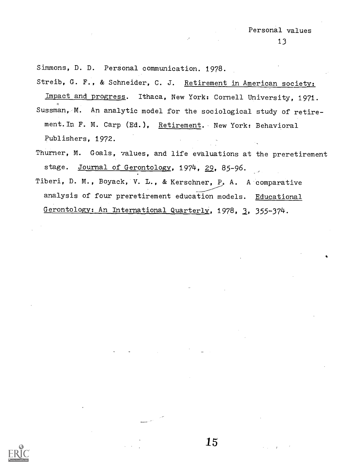Simmons, D. D. Personal communication. 1978.

Streib, G. F., & Schneider, C. J. Retirement in American society:

Impact and progress. Ithaca, New York: Cornell University, 1971. Sussman, M. An analytic model for the sociological study of retirement.In F. M. Carp (Ed.), Retirement. New York: Behavioral Publishers, 1972.

Thurner, M. Goals, values, and life evaluations at the preretirement stage. Journal of Gerontology, 1974, 29, 85-96.

15

Tiberi, D. M., Boyack, V. L., & Kerschner, P. A. A comparative analysis of four preretirement education models. Educational Gerontology: An International Quarterly, 1978, 2, 355-374.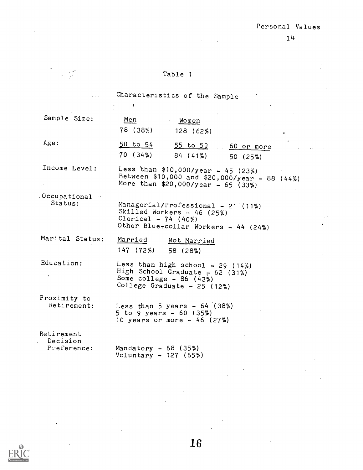$\sim 20$ 

 $\mathcal{A}^{\text{max}}_{\text{max}}$  and  $\mathcal{A}^{\text{max}}_{\text{max}}$ 

#### Table 1  $\Delta \sim 10^4$

 $\mathcal{O}(\mathcal{A})$  , and  $\mathcal{O}(\mathcal{A})$ 

|                                       | Characteristics of the Sample                                                                                                            |  |
|---------------------------------------|------------------------------------------------------------------------------------------------------------------------------------------|--|
| Sample Size:                          | Men<br>Women<br>78 (38%)<br>128(62%)                                                                                                     |  |
| Age:                                  | $50$ to $54$<br><u>55 to 59</u><br>60 or more<br>$70(34\%)$<br>84 (41%)<br>50 (25%)                                                      |  |
| Income Level:                         | Less than \$10,000/year - 45 (23%)<br>Between \$10,000 and \$20,000/year - 88 (44%)<br>More than \$20,000/year - 65 (33%)                |  |
| Cocupational<br>Status:               | Managerial/Professional - 21 (11%)<br>Skilled Workers $-46$ (25%)<br>Clerical - $74$ (40%)<br>Other Blue-collar Workers - 44 (24%)       |  |
| Marital Status:                       | Married<br>Not Married<br>147 (72%)<br>58 (28%)                                                                                          |  |
| Education:                            | Less than high school $-29$ (14%)<br>High School Graduate $-62$ (31%)<br>Some $\text{college}$ - 86 (43%)<br>College Graduate - 25 (12%) |  |
| Proximity to<br>Retirement:           | Less than 5 years $-64$ (38%)<br>5 to 9 years - 60 (35%)<br>10 years or more - 46 (27%)                                                  |  |
| Retirement<br>Decision<br>Preference: | Mandatory $-68$ (35%)                                                                                                                    |  |

Voluntary - 127 (65%)

 $\sim$   $\sim$ 

 $\mathcal{L}^{\mathcal{L}}(\mathcal{L}^{\mathcal{L}})$  and  $\mathcal{L}^{\mathcal{L}}(\mathcal{L}^{\mathcal{L}})$  and  $\mathcal{L}^{\mathcal{L}}(\mathcal{L}^{\mathcal{L}})$ 

 $\mathcal{L}^{\text{max}}_{\text{max}}$ 

 $\sim$ 



 $\sim 10^{-11}$ 

 $\sim$ 

16

 $\sim 10$ 

 $\bar{z}$ 

Ŷ.

 $\sim$ 

 $\sim$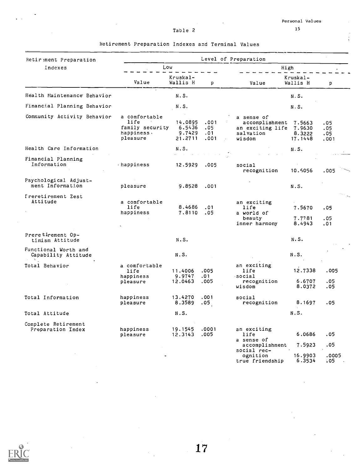$\epsilon$ 

 $\frac{1}{2}$ 

 $\overline{\phantom{a}}$ 

 $\frac{1}{2}$ 

 $\frac{1}{4}$ 

### Table 2

 $\sim 100$ 

| 15 |
|----|
|    |

| Retirement Preparation Indexes and Terminal Values |  |  |
|----------------------------------------------------|--|--|
|----------------------------------------------------|--|--|

 $\sim$ 

| Retir ment Preparation                      |                                                                           |                              |                              |                                                                                       |                              |                           |  |
|---------------------------------------------|---------------------------------------------------------------------------|------------------------------|------------------------------|---------------------------------------------------------------------------------------|------------------------------|---------------------------|--|
| Indexes                                     | Low                                                                       |                              |                              |                                                                                       | Level of Preparation<br>High |                           |  |
|                                             | Value                                                                     | Kruskal-<br>Wallis H         | p                            | Value                                                                                 | Kruskal-<br>Wallis H         | p                         |  |
| Health Maintenance Behavior                 |                                                                           | N.S.                         |                              |                                                                                       | N.S.                         |                           |  |
| Financial Planning Behavior                 |                                                                           | N.S.                         |                              |                                                                                       | N.S.                         |                           |  |
| Community Activity Behavior                 | a comfortable<br>life<br>family security 6.5436<br>happiness.<br>pleasure | 14,0895 ,001<br>9.7429       | .05<br>.01<br>$21.2711$ .001 | a sense of<br>accomplishment 7.5663<br>an exciting life 7.9630<br>salvation<br>wisdom | 8.3222<br>17.1448            | .05<br>.05<br>.05<br>.001 |  |
| Health Care Information                     |                                                                           | N.S.                         |                              | and the state of the                                                                  | N.S.                         |                           |  |
| Financial Planning<br>Information           | happiness                                                                 | 12.5929 .005                 |                              | social<br>recognition                                                                 | 10.5056                      | .005                      |  |
| Psychological Adjust-<br>ment Information   | pleasure                                                                  | 9.8528                       | .001                         |                                                                                       | N.S.                         |                           |  |
| Treretirement Zest<br>Attitude              | a comfortable<br>life<br>happiness                                        | 8.4686<br>7.8110.05          | .01                          | an exciting<br>life<br>a world of<br>beauty<br>inner harmony                          | 7.5670<br>7.7781<br>8.4943   | .05<br>.05<br>.01         |  |
| Preretirement Op-<br>timism Attitude        |                                                                           | N.S.                         |                              |                                                                                       | N.S.                         |                           |  |
| Functional Worth and<br>Capability Attitude |                                                                           | N.S.                         |                              |                                                                                       | N.S.                         |                           |  |
| Total Behavior                              | a comfortable<br>life<br>happiness<br>pleasure                            | 11.4006<br>9.9747<br>12.0463 | .005<br>.01<br>.005          | an exciting<br>life<br>social<br>recognition<br>wisdom                                | 12.7338<br>6.6707<br>8.0372  | .005<br>.05<br>.05        |  |
| Total Information                           | happiness<br>pleasure                                                     | 13.4270<br>8.3589            | .001<br>.05                  | social<br>recognition                                                                 | 8.1697                       | .05                       |  |
| Total Attitude                              |                                                                           | N.S.                         |                              |                                                                                       | N.S.                         |                           |  |
| Complete Retirement<br>Preparation Index    | happiness<br>pleasure                                                     | 19.1545<br>12.3143           | .0001<br>.005                | an exciting<br>life<br>a sense of                                                     | 6.0686                       | .05                       |  |
|                                             |                                                                           |                              |                              | accomplishment<br>social rec-<br>ognition<br>true friendship                          | 7.5923<br>16.9903<br>6.3534  | .05<br>.0005<br>.05       |  |



 $\frac{1}{2}$  ,  $\frac{1}{2}$ 

 $\bar{L}$ 

 $\bar{z}$ 

 $\frac{1}{2}$ 

 $\bar{z}$